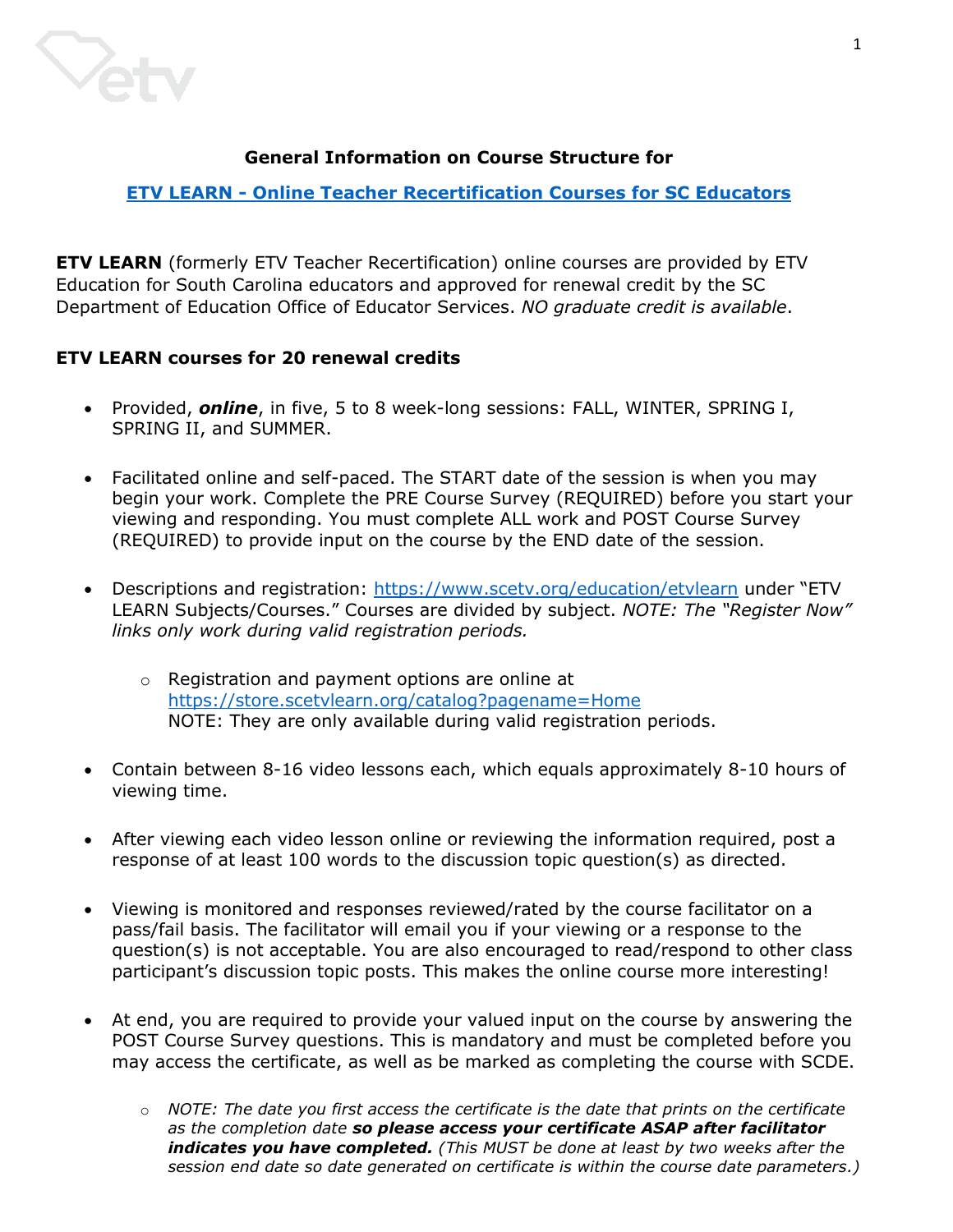

# **General Information on Course Structure for**

# **ETV LEARN - [Online Teacher Recertification Courses](https://www.scetv.org/education/etvlearn) for SC Educators**

**ETV LEARN** (formerly ETV Teacher Recertification) online courses are provided by ETV Education for South Carolina educators and approved for renewal credit by the SC Department of Education Office of Educator Services. *NO graduate credit is available*.

# **ETV LEARN courses for 20 renewal credits**

- Provided, *online*, in five, 5 to 8 week-long sessions: FALL, WINTER, SPRING I, SPRING II, and SUMMER.
- Facilitated online and self-paced. The START date of the session is when you may begin your work. Complete the PRE Course Survey (REQUIRED) before you start your viewing and responding. You must complete ALL work and POST Course Survey (REQUIRED) to provide input on the course by the END date of the session.
- Descriptions and registration: <https://www.scetv.org/education/etvlearn> under "ETV LEARN Subjects/Courses." Courses are divided by subject. *NOTE: The "Register Now" links only work during valid registration periods.*
	- o Registration and payment options are online at <https://store.scetvlearn.org/catalog?pagename=Home> NOTE: They are only available during valid registration periods.
- Contain between 8-16 video lessons each, which equals approximately 8-10 hours of viewing time.
- After viewing each video lesson online or reviewing the information required, post a response of at least 100 words to the discussion topic question(s) as directed.
- Viewing is monitored and responses reviewed/rated by the course facilitator on a pass/fail basis. The facilitator will email you if your viewing or a response to the question(s) is not acceptable. You are also encouraged to read/respond to other class participant's discussion topic posts. This makes the online course more interesting!
- At end, you are required to provide your valued input on the course by answering the POST Course Survey questions. This is mandatory and must be completed before you may access the certificate, as well as be marked as completing the course with SCDE.
	- o *NOTE: The date you first access the certificate is the date that prints on the certificate as the completion date so please access your certificate ASAP after facilitator indicates you have completed. (This MUST be done at least by two weeks after the session end date so date generated on certificate is within the course date parameters.)*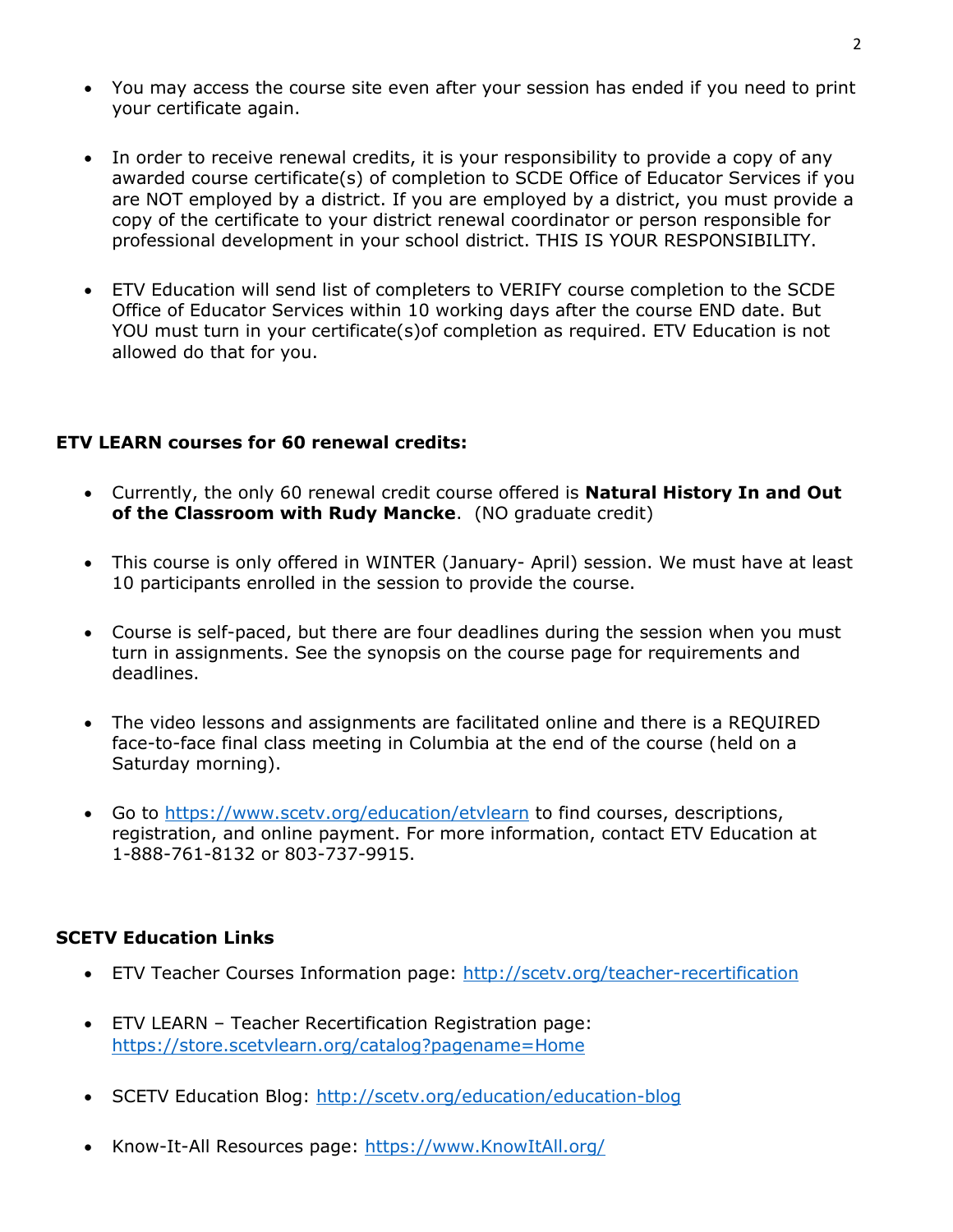- You may access the course site even after your session has ended if you need to print your certificate again.
- In order to receive renewal credits, it is your responsibility to provide a copy of any awarded course certificate(s) of completion to SCDE Office of Educator Services if you are NOT employed by a district. If you are employed by a district, you must provide a copy of the certificate to your district renewal coordinator or person responsible for professional development in your school district. THIS IS YOUR RESPONSIBILITY.
- ETV Education will send list of completers to VERIFY course completion to the SCDE Office of Educator Services within 10 working days after the course END date. But YOU must turn in your certificate(s)of completion as required. ETV Education is not allowed do that for you.

## **ETV LEARN courses for 60 renewal credits:**

- Currently, the only 60 renewal credit course offered is **Natural History In and Out of the Classroom with Rudy Mancke**. (NO graduate credit)
- This course is only offered in WINTER (January- April) session. We must have at least 10 participants enrolled in the session to provide the course.
- Course is self-paced, but there are four deadlines during the session when you must turn in assignments. See the synopsis on the course page for requirements and deadlines.
- The video lessons and assignments are facilitated online and there is a REQUIRED face-to-face final class meeting in Columbia at the end of the course (held on a Saturday morning).
- Go to https://www.scetv.org/education/etylearn to find courses, descriptions, registration, and online payment. For more information, contact ETV Education at 1-888-761-8132 or 803-737-9915.

## **SCETV Education Links**

- ETV Teacher Courses Information page:<http://scetv.org/teacher-recertification>
- ETV LEARN Teacher Recertification Registration page: <https://store.scetvlearn.org/catalog?pagename=Home>
- SCETV Education Blog:<http://scetv.org/education/education-blog>
- Know-It-All Resources page: [https://www.KnowItAll.org/](https://www.knowitall.org/)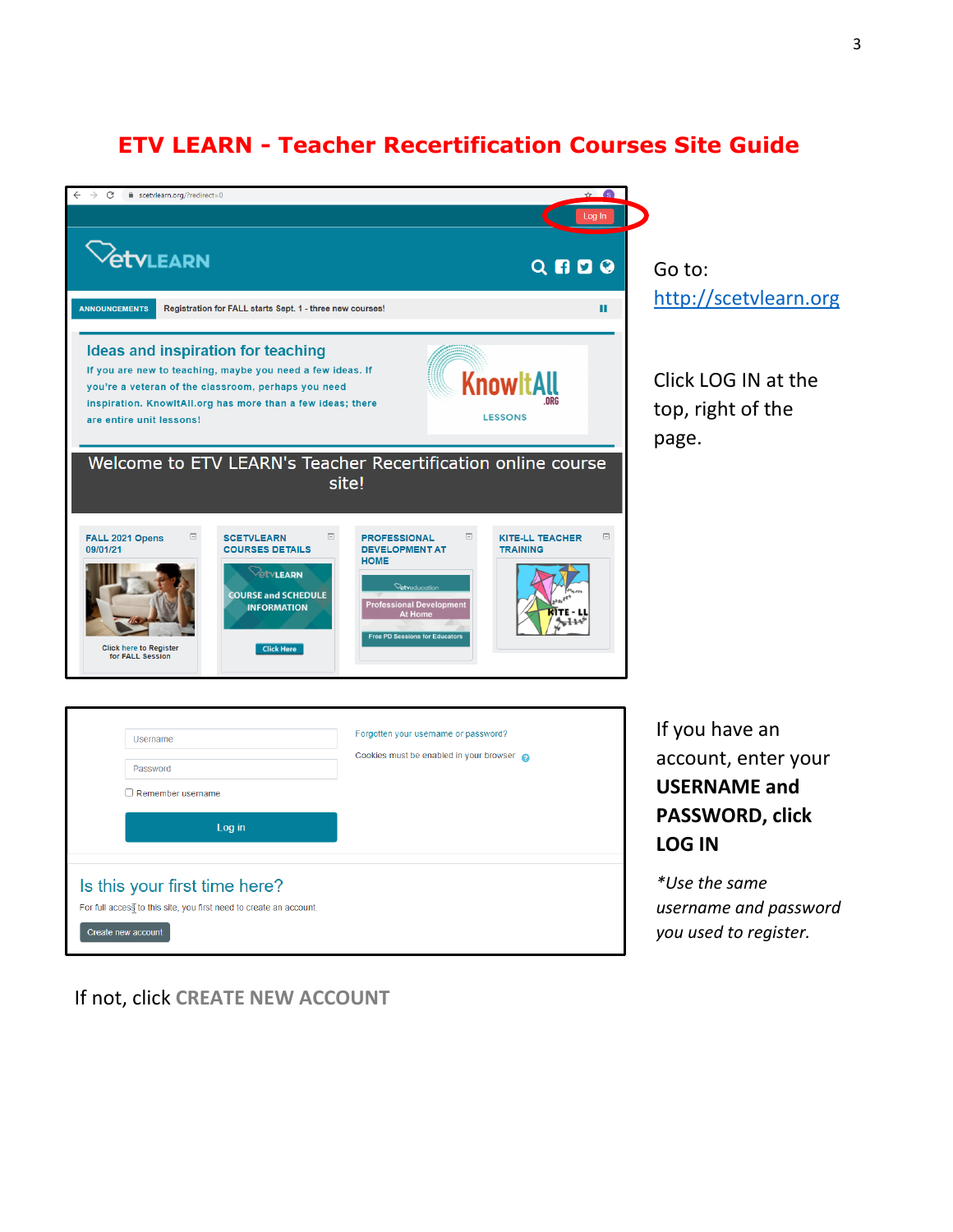# **ETV LEARN - Teacher Recertification Courses Site Guide**



If not, click **CREATE NEW ACCOUNT**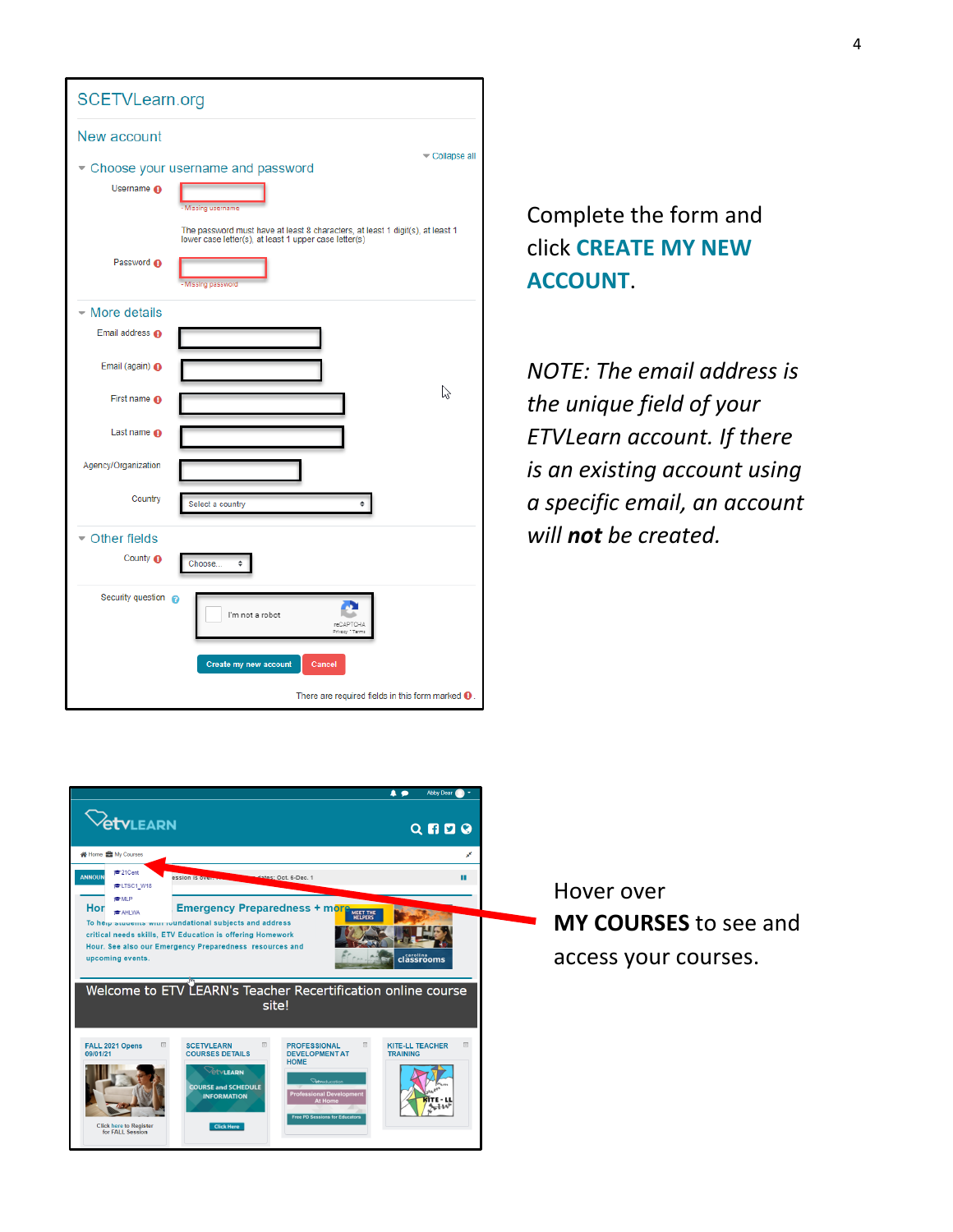

Complete the form and click **CREATE MY NEW ACCOUNT**.

*NOTE: The email address is the unique field of your ETVLearn account. If there is an existing account using a specific email, an account will not be created.*



Hover over **MY COURSES** to see and access your courses.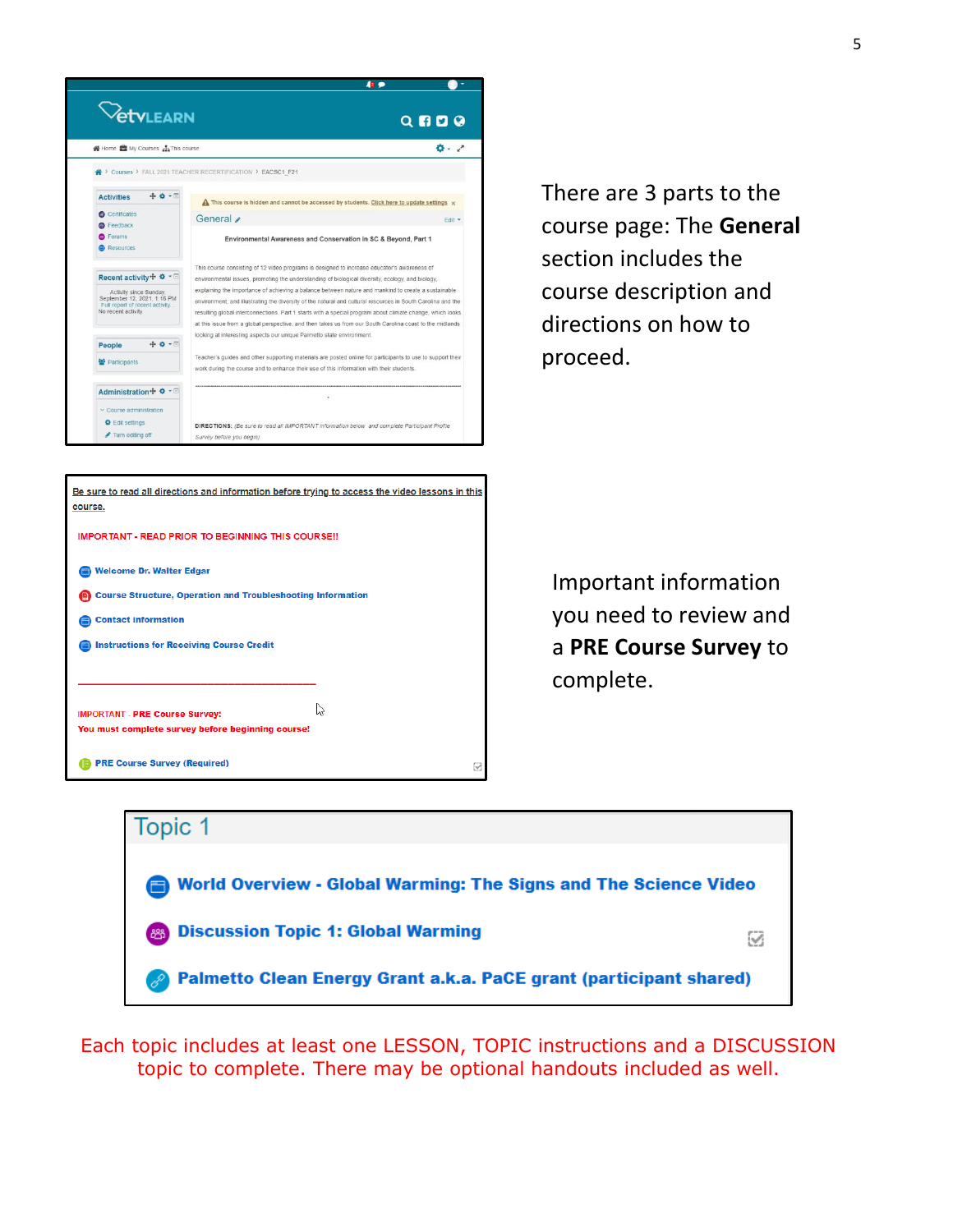

**IMPORTANT - READ PRIOR TO BEGINNING THIS COURSE!!** 

Course Structure, Operation and Troubleshooting Information

ß

Welcome Dr. Walter Edgar

**IMPORTANT - PRE Course Survey:** 

**PRE Course Survey (Required)** 

Instructions for Receiving Course Credit

You must complete survey before beginning course!

**Contact information** 

There are 3 parts to the course page: The **General**  section includes the course description and directions on how to proceed.

Important information you need to review and a **PRE Course Survey** to complete.



Q

Each topic includes at least one LESSON, TOPIC instructions and a DISCUSSION topic to complete. There may be optional handouts included as well.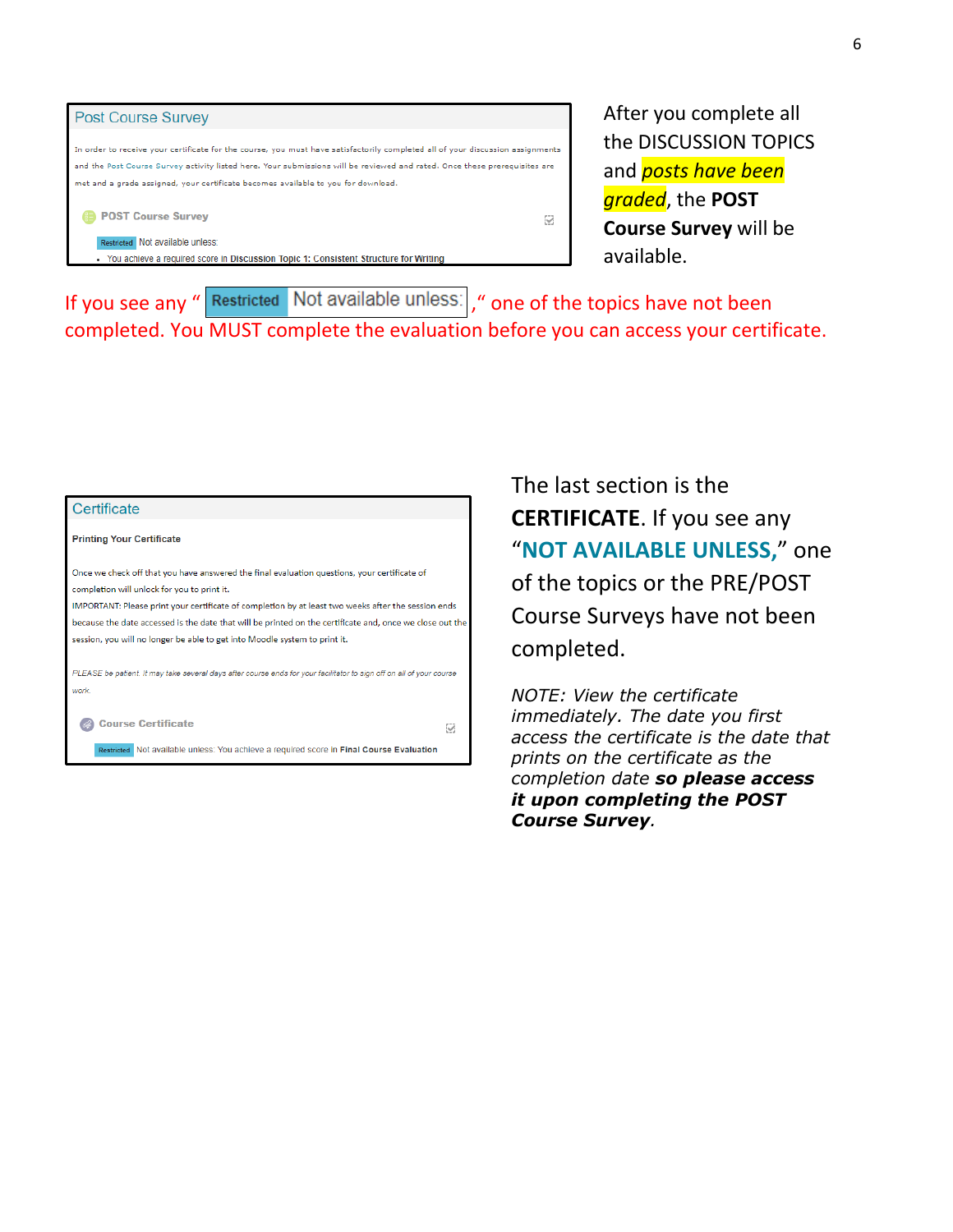

After you complete all the DISCUSSION TOPICS and *posts have been graded*, the **POST Course Survey** will be available.

If you see any " Restricted Not available unless: , " one of the topics have not been completed. You MUST complete the evaluation before you can access your certificate.

## Certificate **Printing Your Certificate** Once we check off that you have answered the final evaluation questions, your certificate of completion will unlock for you to print it. IMPORTANT: Please print your certificate of completion by at least two weeks after the session ends because the date accessed is the date that will be printed on the certificate and, once we close out the session, you will no longer be able to get into Moodle system to print it. PLEASE be patient. It may take several days after course ends for your facilitator to sign off on all of your course work Course Certificate ⊗

Restricted Not available unless: You achieve a required score in Final Course Evaluation

The last section is the **CERTIFICATE**. If you see any "**NOT AVAILABLE UNLESS,**" one of the topics or the PRE/POST Course Surveys have not been completed.

*NOTE: View the certificate immediately. The date you first access the certificate is the date that prints on the certificate as the completion date so please access it upon completing the POST Course Survey.*